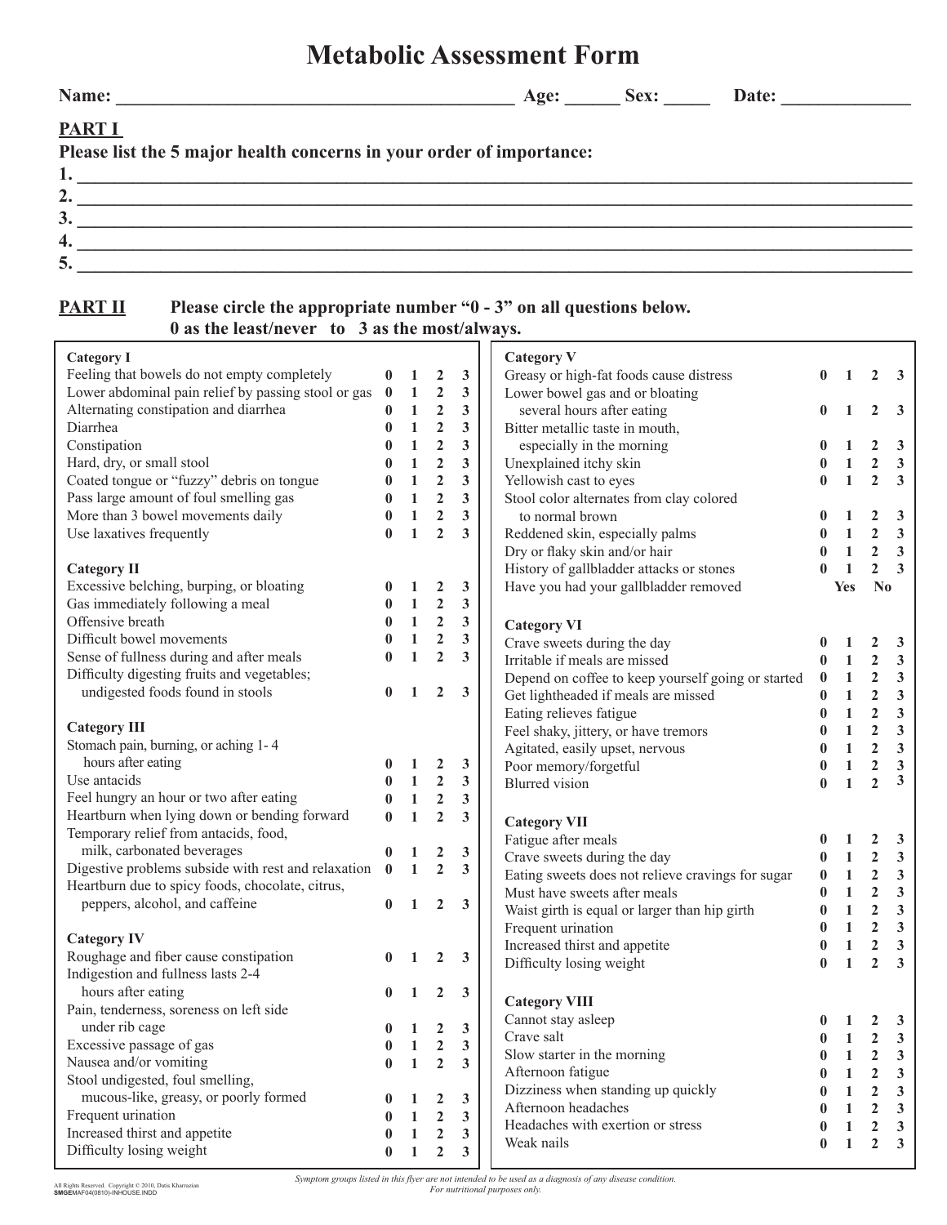| <b>Metabolic Assessment Form</b> |  |  |  |  |
|----------------------------------|--|--|--|--|
|----------------------------------|--|--|--|--|

**Name: \_\_\_\_\_\_\_\_\_\_\_\_\_\_\_\_\_\_\_\_\_\_\_\_\_\_\_\_\_\_\_\_\_\_\_\_\_\_\_\_\_\_\_ Age: \_\_\_\_\_\_ Sex: \_\_\_\_\_ Date: \_\_\_\_\_\_\_\_\_\_\_\_\_\_**

## **PART I**

|  | Please list the 5 major health concerns in your order of importance: |
|--|----------------------------------------------------------------------|
|--|----------------------------------------------------------------------|

| – ⊷       |  |
|-----------|--|
| <u>لۍ</u> |  |
|           |  |
|           |  |

## **PART II** Please circle the appropriate number "0 - 3" on all questions below. **Please circle the approprime name of the least of always.**<br>0 as the least/never to 3 as the most/always. <u> 1980 - Johann Barbara, martxa a</u>

| <b>Category I</b>                                   |                  |                                                  |                  |                         | <b>Category V</b>                                  |                      |                              |                                  |                              |
|-----------------------------------------------------|------------------|--------------------------------------------------|------------------|-------------------------|----------------------------------------------------|----------------------|------------------------------|----------------------------------|------------------------------|
| Feeling that bowels do not empty completely         |                  | $\mathbf{1}$                                     | $\boldsymbol{2}$ | $\mathbf{3}$            | Greasy or high-fat foods cause distress            | $\bf{0}$             | 1                            | $\mathbf{2}$                     | 3                            |
| Lower abdominal pain relief by passing stool or gas | $\bf{0}$         | $\mathbf{1}$                                     | $\overline{2}$   | $\mathbf{3}$            | Lower bowel gas and or bloating                    |                      |                              |                                  |                              |
| Alternating constipation and diarrhea               | $\bf{0}$         | $\mathbf{1}$                                     | $\overline{2}$   | $\mathbf{3}$            | several hours after eating                         | $\bf{0}$             | 1                            | $\overline{2}$                   | $\mathbf{3}$                 |
| Diarrhea                                            | $\bf{0}$         | $\mathbf{1}$                                     | $\mathbf 2$      | $\mathbf{3}$            | Bitter metallic taste in mouth,                    |                      |                              |                                  |                              |
| Constipation                                        | $\bf{0}$         | $\mathbf{1}$                                     | $\mathbf 2$      | 3                       | especially in the morning                          | 0                    | 1                            | $\overline{2}$                   | 3                            |
| Hard, dry, or small stool                           | $\bf{0}$         | $\mathbf{1}$                                     | $\mathbf{2}$     | $\mathbf{3}$            | Unexplained itchy skin                             | $\bf{0}$             | $\mathbf{1}$                 | $\boldsymbol{2}$                 | $\mathbf{3}$                 |
| Coated tongue or "fuzzy" debris on tongue           | $\bf{0}$         | $\mathbf{1}% _{T}\left  \mathbf{1}\right\rangle$ | $\mathbf 2$      | 3                       | Yellowish cast to eyes                             | $\bf{0}$             | $\mathbf{1}$                 | $\overline{2}$                   | $\mathbf{3}$                 |
| Pass large amount of foul smelling gas              | $\bf{0}$         | $\mathbf{1}$                                     | $\mathbf 2$      | 3                       | Stool color alternates from clay colored           |                      |                              |                                  |                              |
| More than 3 bowel movements daily                   | $\bf{0}$         | $\mathbf{1}$                                     | $\mathbf 2$      | 3                       | to normal brown                                    | 0                    | 1                            | $\mathbf{2}$                     | $\mathbf{3}$                 |
| Use laxatives frequently                            | $\bf{0}$         | $\mathbf{1}$                                     | $\overline{2}$   | 3                       | Reddened skin, especially palms                    | $\bf{0}$             | $\mathbf{1}$                 | $\mathbf{2}$                     | $\mathbf{3}$                 |
|                                                     |                  |                                                  |                  |                         | Dry or flaky skin and/or hair                      | $\bf{0}$             | $\mathbf{1}$                 | $\boldsymbol{2}$                 | $\mathbf{3}$                 |
| <b>Category II</b>                                  |                  |                                                  |                  |                         | History of gallbladder attacks or stones           | $\bf{0}$             | $\mathbf{1}$                 | $\overline{2}$                   | $\mathbf{3}$                 |
| Excessive belching, burping, or bloating            | $\bf{0}$         | 1                                                | $\boldsymbol{2}$ | $\mathbf{3}$            | Have you had your gallbladder removed              |                      | <b>Yes</b>                   | N <sub>0</sub>                   |                              |
| Gas immediately following a meal                    | $\bf{0}$         | $\mathbf{1}$                                     | $\mathbf{2}$     | $\mathbf{3}$            |                                                    |                      |                              |                                  |                              |
| Offensive breath                                    | $\mathbf{0}$     | $\mathbf{1}$                                     | $\mathbf{2}$     | $\mathbf{3}$            | <b>Category VI</b>                                 |                      |                              |                                  |                              |
| Difficult bowel movements                           | $\mathbf{0}$     | $\mathbf{1}% _{T}\left  \mathbf{1}\right\rangle$ | $\mathbf{2}$     | 3                       | Crave sweets during the day                        | $\bf{0}$             | 1                            | 2                                | 3                            |
| Sense of fullness during and after meals            |                  | $\mathbf{1}$                                     | $\overline{2}$   | $\overline{\mathbf{3}}$ | Irritable if meals are missed                      | $\bf{0}$             | $\mathbf{1}$                 | $\mathbf{2}$                     | $\mathbf{3}$                 |
| Difficulty digesting fruits and vegetables;         |                  |                                                  |                  |                         | Depend on coffee to keep yourself going or started | $\pmb{0}$            | $\mathbf{1}$                 | $\mathbf{2}$                     | $\mathbf{3}$                 |
| undigested foods found in stools                    | $\bf{0}$         | 1                                                | $\overline{2}$   | $\mathbf{3}$            | Get lightheaded if meals are missed                | $\bf{0}$             | $\mathbf{1}$                 | $\boldsymbol{2}$                 | $\mathbf{3}$                 |
|                                                     |                  |                                                  |                  |                         | Eating relieves fatigue                            | $\mathbf{0}$         | $\mathbf{1}$                 | $\mathbf 2$                      | $\mathbf{3}$                 |
| <b>Category III</b>                                 |                  |                                                  |                  |                         | Feel shaky, jittery, or have tremors               | $\bf{0}$             | $\mathbf{1}$                 | $\boldsymbol{2}$                 | $\mathbf{3}$                 |
| Stomach pain, burning, or aching 1-4                |                  |                                                  |                  |                         | Agitated, easily upset, nervous                    | $\bf{0}$             | $\mathbf{1}$                 | $\overline{2}$                   | $\mathbf{3}$                 |
| hours after eating                                  | $\bf{0}$         | $\mathbf{1}$                                     | $\boldsymbol{2}$ | $\mathbf{3}$            | Poor memory/forgetful                              | $\bf{0}$             | $\mathbf{1}$                 | $\mathbf 2$                      | $\mathbf{3}$                 |
| Use antacids                                        | $\bf{0}$         | $\mathbf{1}$                                     | $\mathbf{2}$     | $\mathbf{3}$            | <b>Blurred</b> vision                              | $\bf{0}$             | $\mathbf{1}$                 | $\overline{2}$                   | 3                            |
| Feel hungry an hour or two after eating             | $\bf{0}$         | $\mathbf{1}$                                     | $\mathbf{2}$     | $\mathbf{3}$            |                                                    |                      |                              |                                  |                              |
| Heartburn when lying down or bending forward        | $\mathbf{0}$     | $\mathbf{1}$                                     | $\overline{2}$   | 3                       |                                                    |                      |                              |                                  |                              |
| Temporary relief from antacids, food,               |                  |                                                  |                  |                         | <b>Category VII</b>                                |                      |                              |                                  |                              |
| milk, carbonated beverages                          | $\bf{0}$         | 1                                                | $\boldsymbol{2}$ | $\mathbf{3}$            | Fatigue after meals                                | $\bf{0}$<br>$\bf{0}$ | $\mathbf{1}$<br>$\mathbf{1}$ | $\mathbf{2}$                     | $\mathbf{3}$<br>$\mathbf{3}$ |
| Digestive problems subside with rest and relaxation | $\mathbf{0}$     | $\mathbf{1}$                                     | $\overline{2}$   | $\mathbf{3}$            | Crave sweets during the day                        |                      | $\mathbf{1}$                 | $\mathbf{2}$                     | $\mathbf{3}$                 |
| Heartburn due to spicy foods, chocolate, citrus,    |                  |                                                  |                  |                         | Eating sweets does not relieve cravings for sugar  | $\bf{0}$<br>$\bf{0}$ | $\mathbf{1}$                 | $\boldsymbol{2}$<br>$\mathbf{2}$ | $\mathbf{3}$                 |
| peppers, alcohol, and caffeine                      | $\bf{0}$         | $\mathbf{1}$                                     | $\overline{2}$   | 3                       | Must have sweets after meals                       |                      | $\mathbf{1}$                 |                                  |                              |
|                                                     |                  |                                                  |                  |                         | Waist girth is equal or larger than hip girth      | $\bf{0}$             |                              | $\overline{2}$                   | $\mathbf{3}$                 |
| <b>Category IV</b>                                  |                  |                                                  |                  |                         | Frequent urination                                 | $\bf{0}$             | $\mathbf{1}$                 | $\mathbf{2}$                     | $\mathbf{3}$                 |
| Roughage and fiber cause constipation               | $\mathbf{0}$     | 1                                                | $\overline{2}$   | 3                       | Increased thirst and appetite                      | $\bf{0}$             | $\mathbf{1}$<br>$\mathbf{1}$ | $\mathbf 2$<br>$\overline{2}$    | $\mathbf{3}$<br>3            |
| Indigestion and fullness lasts 2-4                  |                  |                                                  |                  |                         | Difficulty losing weight                           | $\bf{0}$             |                              |                                  |                              |
| hours after eating                                  |                  | 1                                                | $\overline{2}$   | $\mathbf{3}$            |                                                    |                      |                              |                                  |                              |
| Pain, tenderness, soreness on left side             |                  |                                                  |                  |                         | <b>Category VIII</b>                               |                      |                              |                                  |                              |
| under rib cage                                      | $\bf{0}$         | 1                                                | $\overline{2}$   | 3                       | Cannot stay asleep                                 | $\bf{0}$             | 1                            | 2                                | $\mathbf{3}$                 |
| Excessive passage of gas                            | $\boldsymbol{0}$ | $\mathbf{1}$                                     | $\boldsymbol{2}$ | $\mathbf{3}$            | Crave salt                                         | $\bf{0}$             | $\mathbf{1}$                 | $\boldsymbol{2}$                 | 3                            |
| Nausea and/or vomiting                              | $\bf{0}$         | $\mathbf{1}$                                     | $\overline{2}$   | 3                       | Slow starter in the morning                        | $\bf{0}$             | 1                            | 2                                | 3                            |
| Stool undigested, foul smelling,                    |                  |                                                  |                  |                         | Afternoon fatigue                                  | 0                    | 1                            | 2                                | $\mathbf{3}$                 |
| mucous-like, greasy, or poorly formed               |                  | 1                                                | $\boldsymbol{2}$ | $\mathbf{3}$            | Dizziness when standing up quickly                 | $\bf{0}$             | $\mathbf{1}$                 | $\mathbf{2}$                     | $\mathbf{3}$                 |
| Frequent urination                                  | 0                | $\mathbf{1}$                                     | $\overline{2}$   | $\mathbf{3}$            | Afternoon headaches                                | 0                    | $\mathbf{1}$                 | $\mathbf{2}$                     | $\mathbf{3}$                 |
| Increased thirst and appetite                       |                  | $\mathbf{1}$                                     | $\overline{2}$   | 3                       | Headaches with exertion or stress<br>0             |                      | $\mathbf{1}$                 | $\mathbf{2}$                     | $\mathbf{3}$                 |
| Difficulty losing weight                            | 0                | $\mathbf{1}$                                     | $\overline{2}$   | $\mathbf{3}$            | Weak nails                                         | $\bf{0}$             | $\mathbf{1}$                 | $\overline{2}$                   | $\mathbf{3}$                 |
|                                                     |                  |                                                  |                  |                         |                                                    |                      |                              |                                  |                              |